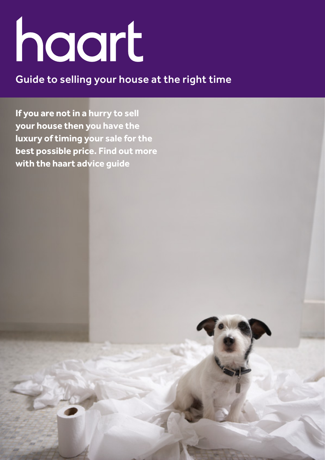# haart

# Guide to selling your house at the right time

**If you are not in a hurry to sell your house then you have the luxury of timing your sale for the best possible price. Find out more with the haart advice guide**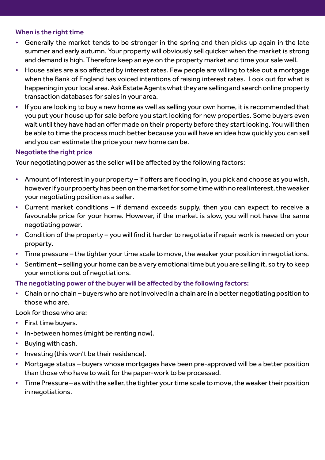### When is the right time

- Generally the market tends to be stronger in the spring and then picks up again in the late summer and early autumn. Your property will obviously sell quicker when the market is strong and demand is high. Therefore keep an eye on the property market and time your sale well.
- House sales are also affected by interest rates. Few people are willing to take out a mortgage when the Bank of England has voiced intentions of raising interest rates. Look out for what is happening in your local area. Ask Estate Agents what they are selling and search online property transaction databases for sales in your area.
- If you are looking to buy a new home as well as selling your own home, it is recommended that you put your house up for sale before you start looking for new properties. Some buyers even wait until they have had an offer made on their property before they start looking. You will then be able to time the process much better because you will have an idea how quickly you can sell and you can estimate the price your new home can be.

## Negotiate the right price

Your negotiating power as the seller will be affected by the following factors:

- Amount of interest in your property if offers are flooding in, you pick and choose as you wish, however if your property has been on the market for some time with no real interest, the weaker your negotiating position as a seller.
- Current market conditions  $-$  if demand exceeds supply, then you can expect to receive a favourable price for your home. However, if the market is slow, you will not have the same negotiating power.
- Condition of the property you will find it harder to negotiate if repair work is needed on your property.
- Time pressure the tighter your time scale to move, the weaker your position in negotiations.
- Sentiment selling your home can be a very emotional time but you are selling it, so try to keep your emotions out of negotiations.

## The negotiating power of the buyer will be affected by the following factors:

• Chain or no chain – buyers who are not involved in a chain are in a better negotiating position to those who are.

Look for those who are:

- First time buyers.
- In-between homes (might be renting now).
- Buying with cash.
- Investing (this won't be their residence).
- Mortgage status buyers whose mortgages have been pre-approved will be a better position than those who have to wait for the paper-work to be processed.
- Time Pressure as with the seller, the tighter your time scale to move, the weaker their position in negotiations.